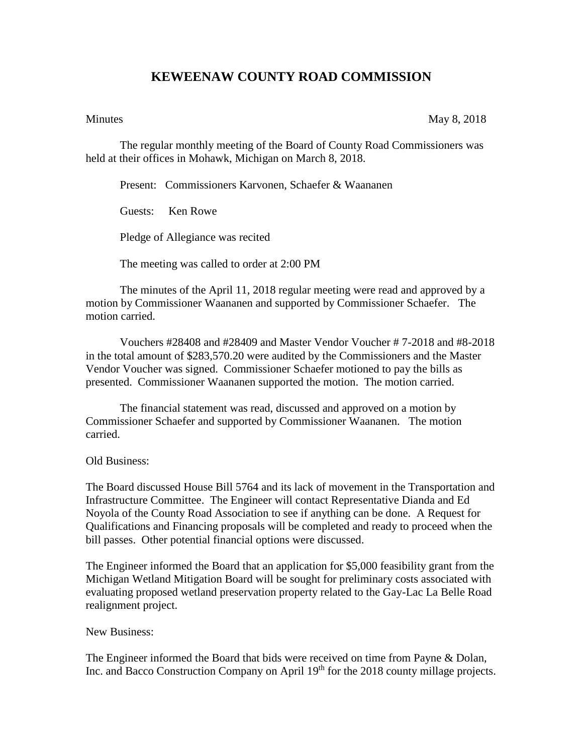## **KEWEENAW COUNTY ROAD COMMISSION**

Minutes May 8, 2018

The regular monthly meeting of the Board of County Road Commissioners was held at their offices in Mohawk, Michigan on March 8, 2018.

Present: Commissioners Karvonen, Schaefer & Waananen

Guests: Ken Rowe

Pledge of Allegiance was recited

The meeting was called to order at 2:00 PM

The minutes of the April 11, 2018 regular meeting were read and approved by a motion by Commissioner Waananen and supported by Commissioner Schaefer. The motion carried.

Vouchers #28408 and #28409 and Master Vendor Voucher # 7-2018 and #8-2018 in the total amount of \$283,570.20 were audited by the Commissioners and the Master Vendor Voucher was signed. Commissioner Schaefer motioned to pay the bills as presented. Commissioner Waananen supported the motion. The motion carried.

The financial statement was read, discussed and approved on a motion by Commissioner Schaefer and supported by Commissioner Waananen. The motion carried.

## Old Business:

The Board discussed House Bill 5764 and its lack of movement in the Transportation and Infrastructure Committee. The Engineer will contact Representative Dianda and Ed Noyola of the County Road Association to see if anything can be done. A Request for Qualifications and Financing proposals will be completed and ready to proceed when the bill passes. Other potential financial options were discussed.

The Engineer informed the Board that an application for \$5,000 feasibility grant from the Michigan Wetland Mitigation Board will be sought for preliminary costs associated with evaluating proposed wetland preservation property related to the Gay-Lac La Belle Road realignment project.

## New Business:

The Engineer informed the Board that bids were received on time from Payne & Dolan, Inc. and Bacco Construction Company on April 19<sup>th</sup> for the 2018 county millage projects.